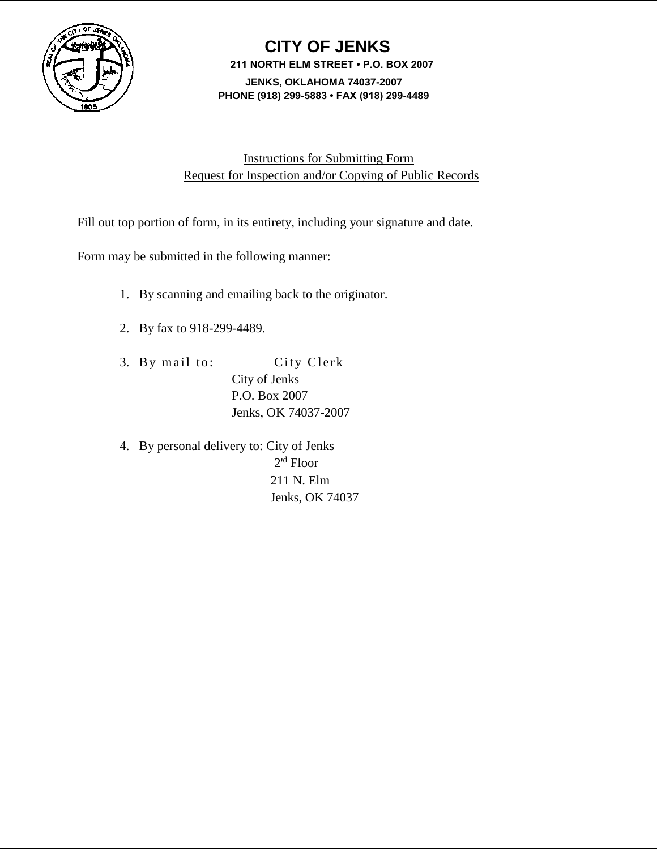

# **CITY OF JENKS 211 NORTH ELM STREET • P.O. BOX 2007 JENKS, OKLAHOMA 74037-2007 PHONE (918) 299-5883 • FAX (918) 299-4489**

## Instructions for Submitting Form Request for Inspection and/or Copying of Public Records

Fill out top portion of form, in its entirety, including your signature and date.

Form may be submitted in the following manner:

- 1. By scanning and emailing back to the originator.
- 2. By fax to 918-299-4489.
- 3. By mail to: City Clerk City of Jenks P.O. Box 2007 Jenks, OK 74037-2007
- 4. By personal delivery to: City of Jenks 2'<sup>d</sup> Floor 211 N. Elm Jenks, OK 74037